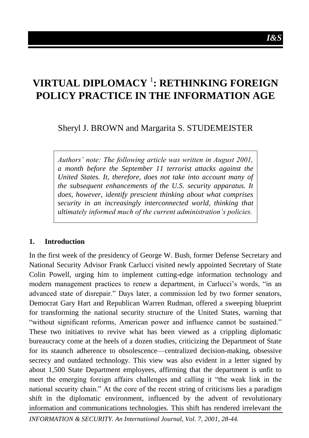# **VIRTUAL DIPLOMACY** <sup>1</sup> **: RETHINKING FOREIGN POLICY PRACTICE IN THE INFORMATION AGE**

Sheryl J. BROWN and Margarita S. STUDEMEISTER

*Authors' note: The following article was written in August 2001, a month before the September 11 terrorist attacks against the United States. It, therefore, does not take into account many of the subsequent enhancements of the U.S. security apparatus. It does, however, identify prescient thinking about what comprises security in an increasingly interconnected world, thinking that ultimately informed much of the current administration's policies.*

#### **1. Introduction**

In the first week of the presidency of George W. Bush, former Defense Secretary and National Security Advisor Frank Carlucci visited newly appointed Secretary of State Colin Powell, urging him to implement cutting-edge information technology and modern management practices to renew a department, in Carlucci's words, "in an advanced state of disrepair." Days later, a commission led by two former senators, Democrat Gary Hart and Republican Warren Rudman, offered a sweeping blueprint for transforming the national security structure of the United States, warning that "without significant reforms, American power and influence cannot be sustained." These two initiatives to revive what has been viewed as a crippling diplomatic bureaucracy come at the heels of a dozen studies, criticizing the Department of State for its staunch adherence to obsolescence—centralized decision-making, obsessive secrecy and outdated technology. This view was also evident in a letter signed by about 1,500 State Department employees, affirming that the department is unfit to meet the emerging foreign affairs challenges and calling it "the weak link in the national security chain." At the core of the recent string of criticisms lies a paradigm shift in the diplomatic environment, influenced by the advent of revolutionary information and communications technologies. This shift has rendered irrelevant the

*INFORMATION & SECURITY. An International Journal, Vol. 7, 2001, 28-44.*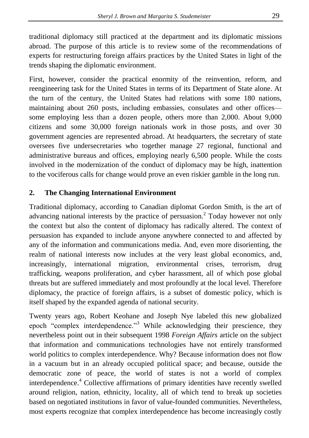traditional diplomacy still practiced at the department and its diplomatic missions abroad. The purpose of this article is to review some of the recommendations of experts for restructuring foreign affairs practices by the United States in light of the trends shaping the diplomatic environment.

First, however, consider the practical enormity of the reinvention, reform, and reengineering task for the United States in terms of its Department of State alone. At the turn of the century, the United States had relations with some 180 nations, maintaining about 260 posts, including embassies, consulates and other offices some employing less than a dozen people, others more than 2,000. About 9,000 citizens and some 30,000 foreign nationals work in those posts, and over 30 government agencies are represented abroad. At headquarters, the secretary of state oversees five undersecretaries who together manage 27 regional, functional and administrative bureaus and offices, employing nearly 6,500 people. While the costs involved in the modernization of the conduct of diplomacy may be high, inattention to the vociferous calls for change would prove an even riskier gamble in the long run.

## **2. The Changing International Environment**

Traditional diplomacy, according to Canadian diplomat Gordon Smith, is the art of advancing national interests by the practice of persuasion.<sup>2</sup> Today however not only the context but also the content of diplomacy has radically altered. The context of persuasion has expanded to include anyone anywhere connected to and affected by any of the information and communications media. And, even more disorienting, the realm of national interests now includes at the very least global economics, and, increasingly, international migration, environmental crises, terrorism, drug trafficking, weapons proliferation, and cyber harassment, all of which pose global threats but are suffered immediately and most profoundly at the local level. Therefore diplomacy, the practice of foreign affairs, is a subset of domestic policy, which is itself shaped by the expanded agenda of national security.

Twenty years ago, Robert Keohane and Joseph Nye labeled this new globalized epoch "complex interdependence."<sup>3</sup> While acknowledging their prescience, they nevertheless point out in their subsequent 1998 *Foreign Affairs* article on the subject that information and communications technologies have not entirely transformed world politics to complex interdependence. Why? Because information does not flow in a vacuum but in an already occupied political space; and because, outside the democratic zone of peace, the world of states is not a world of complex interdependence.<sup>4</sup> Collective affirmations of primary identities have recently swelled around religion, nation, ethnicity, locality, all of which tend to break up societies based on negotiated institutions in favor of value-founded communities. Nevertheless, most experts recognize that complex interdependence has become increasingly costly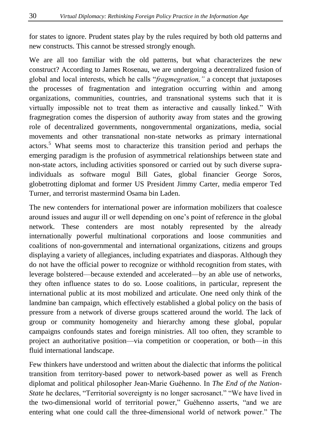for states to ignore. Prudent states play by the rules required by both old patterns and new constructs. This cannot be stressed strongly enough.

We are all too familiar with the old patterns, but what characterizes the new construct? According to James Rosenau, we are undergoing a decentralized fusion of global and local interests, which he calls "*fragmegration,"* a concept that juxtaposes the processes of fragmentation and integration occurring within and among organizations, communities, countries, and transnational systems such that it is virtually impossible not to treat them as interactive and causally linked." With fragmegration comes the dispersion of authority away from states and the growing role of decentralized governments, nongovernmental organizations, media, social movements and other transnational non-state networks as primary international actors.<sup>5</sup> What seems most to characterize this transition period and perhaps the emerging paradigm is the profusion of asymmetrical relationships between state and non-state actors, including activities sponsored or carried out by such diverse supraindividuals as software mogul Bill Gates, global financier George Soros, globetrotting diplomat and former US President Jimmy Carter, media emperor Ted Turner, and terrorist mastermind Osama bin Laden.

The new contenders for international power are information mobilizers that coalesce around issues and augur ill or well depending on one"s point of reference in the global network. These contenders are most notably represented by the already internationally powerful multinational corporations and loose communities and coalitions of non-governmental and international organizations, citizens and groups displaying a variety of allegiances, including expatriates and diasporas. Although they do not have the official power to recognize or withhold recognition from states, with leverage bolstered—because extended and accelerated—by an able use of networks, they often influence states to do so. Loose coalitions, in particular, represent the international public at its most mobilized and articulate. One need only think of the landmine ban campaign, which effectively established a global policy on the basis of pressure from a network of diverse groups scattered around the world. The lack of group or community homogeneity and hierarchy among these global, popular campaigns confounds states and foreign ministries. All too often, they scramble to project an authoritative position—via competition or cooperation, or both—in this fluid international landscape.

Few thinkers have understood and written about the dialectic that informs the political transition from territory-based power to network-based power as well as French diplomat and political philosopher Jean-Marie Guéhenno. In *The End of the Nation-State* he declares, "Territorial sovereignty is no longer sacrosanct." "We have lived in the two-dimensional world of territorial power," Guéhenno asserts, "and we are entering what one could call the three-dimensional world of network power." The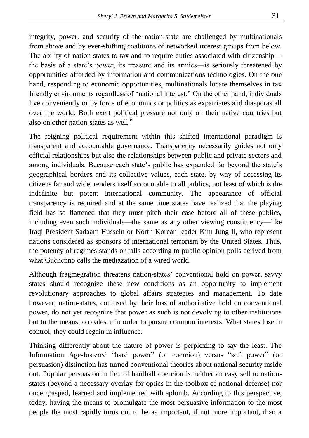integrity, power, and security of the nation-state are challenged by multinationals from above and by ever-shifting coalitions of networked interest groups from below. The ability of nation-states to tax and to require duties associated with citizenship the basis of a state"s power, its treasure and its armies—is seriously threatened by opportunities afforded by information and communications technologies. On the one hand, responding to economic opportunities, multinationals locate themselves in tax friendly environments regardless of "national interest." On the other hand, individuals live conveniently or by force of economics or politics as expatriates and diasporas all over the world. Both exert political pressure not only on their native countries but also on other nation-states as well. $<sup>6</sup>$ </sup>

The reigning political requirement within this shifted international paradigm is transparent and accountable governance. Transparency necessarily guides not only official relationships but also the relationships between public and private sectors and among individuals. Because each state's public has expanded far beyond the state's geographical borders and its collective values, each state, by way of accessing its citizens far and wide, renders itself accountable to all publics, not least of which is the indefinite but potent international community. The appearance of official transparency is required and at the same time states have realized that the playing field has so flattened that they must pitch their case before all of these publics, including even such individuals—the same as any other viewing constituency—like Iraqi President Sadaam Hussein or North Korean leader Kim Jung Il, who represent nations considered as sponsors of international terrorism by the United States. Thus, the potency of regimes stands or falls according to public opinion polls derived from what Guéhenno calls the mediazation of a wired world.

Although fragmegration threatens nation-states" conventional hold on power, savvy states should recognize these new conditions as an opportunity to implement revolutionary approaches to global affairs strategies and management. To date however, nation-states, confused by their loss of authoritative hold on conventional power, do not yet recognize that power as such is not devolving to other institutions but to the means to coalesce in order to pursue common interests. What states lose in control, they could regain in influence.

Thinking differently about the nature of power is perplexing to say the least. The Information Age-fostered "hard power" (or coercion) versus "soft power" (or persuasion) distinction has turned conventional theories about national security inside out. Popular persuasion in lieu of hardball coercion is neither an easy sell to nationstates (beyond a necessary overlay for optics in the toolbox of national defense) nor once grasped, learned and implemented with aplomb. According to this perspective, today, having the means to promulgate the most persuasive information to the most people the most rapidly turns out to be as important, if not more important, than a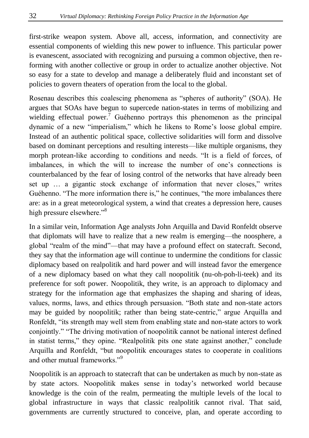first-strike weapon system. Above all, access, information, and connectivity are essential components of wielding this new power to influence. This particular power is evanescent, associated with recognizing and pursuing a common objective, then reforming with another collective or group in order to actualize another objective. Not so easy for a state to develop and manage a deliberately fluid and inconstant set of policies to govern theaters of operation from the local to the global.

Rosenau describes this coalescing phenomena as "spheres of authority" (SOA). He argues that SOAs have begun to supercede nation-states in terms of mobilizing and wielding effectual power.<sup>7</sup> Guéhenno portrays this phenomenon as the principal dynamic of a new "imperialism," which he likens to Rome"s loose global empire. Instead of an authentic political space, collective solidarities will form and dissolve based on dominant perceptions and resulting interests—like multiple organisms, they morph protean-like according to conditions and needs. "It is a field of forces, of imbalances, in which the will to increase the number of one"s connections is counterbalanced by the fear of losing control of the networks that have already been set up … a gigantic stock exchange of information that never closes," writes Guéhenno. "The more information there is," he continues, "the more imbalances there are: as in a great meteorological system, a wind that creates a depression here, causes high pressure elsewhere."<sup>8</sup>

In a similar vein, Information Age analysts John Arquilla and David Ronfeldt observe that diplomats will have to realize that a new realm is emerging—the noosphere, a global "realm of the mind"—that may have a profound effect on statecraft. Second, they say that the information age will continue to undermine the conditions for classic diplomacy based on realpolitik and hard power and will instead favor the emergence of a new diplomacy based on what they call noopolitik (nu-oh-poh-li-teek) and its preference for soft power. Noopolitik, they write, is an approach to diplomacy and strategy for the information age that emphasizes the shaping and sharing of ideas, values, norms, laws, and ethics through persuasion. "Both state and non-state actors may be guided by noopolitik; rather than being state-centric," argue Arquilla and Ronfeldt, "its strength may well stem from enabling state and non-state actors to work conjointly." "The driving motivation of noopolitik cannot be national interest defined in statist terms," they opine. "Realpolitik pits one state against another," conclude Arquilla and Ronfeldt, "but noopolitik encourages states to cooperate in coalitions and other mutual frameworks<sup>"9</sup>

Noopolitik is an approach to statecraft that can be undertaken as much by non-state as by state actors. Noopolitik makes sense in today"s networked world because knowledge is the coin of the realm, permeating the multiple levels of the local to global infrastructure in ways that classic realpolitik cannot rival. That said, governments are currently structured to conceive, plan, and operate according to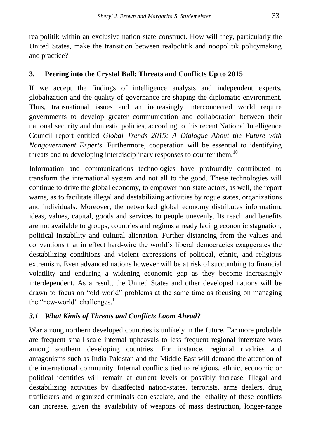realpolitik within an exclusive nation-state construct. How will they, particularly the United States, make the transition between realpolitik and noopolitik policymaking and practice?

# **3. Peering into the Crystal Ball: Threats and Conflicts Up to 2015**

If we accept the findings of intelligence analysts and independent experts, globalization and the quality of governance are shaping the diplomatic environment. Thus, transnational issues and an increasingly interconnected world require governments to develop greater communication and collaboration between their national security and domestic policies, according to this recent National Intelligence Council report entitled *Global Trends 2015: A Dialogue About the Future with Nongovernment Experts*. Furthermore, cooperation will be essential to identifying threats and to developing interdisciplinary responses to counter them.<sup>10</sup>

Information and communications technologies have profoundly contributed to transform the international system and not all to the good. These technologies will continue to drive the global economy, to empower non-state actors, as well, the report warns, as to facilitate illegal and destabilizing activities by rogue states, organizations and individuals. Moreover, the networked global economy distributes information, ideas, values, capital, goods and services to people unevenly. Its reach and benefits are not available to groups, countries and regions already facing economic stagnation, political instability and cultural alienation. Further distancing from the values and conventions that in effect hard-wire the world"s liberal democracies exaggerates the destabilizing conditions and violent expressions of political, ethnic, and religious extremism. Even advanced nations however will be at risk of succumbing to financial volatility and enduring a widening economic gap as they become increasingly interdependent. As a result, the United States and other developed nations will be drawn to focus on "old-world" problems at the same time as focusing on managing the "new-world" challenges.<sup>11</sup>

## *3.1 What Kinds of Threats and Conflicts Loom Ahead?*

War among northern developed countries is unlikely in the future. Far more probable are frequent small-scale internal upheavals to less frequent regional interstate wars among southern developing countries. For instance, regional rivalries and antagonisms such as India-Pakistan and the Middle East will demand the attention of the international community. Internal conflicts tied to religious, ethnic, economic or political identities will remain at current levels or possibly increase. Illegal and destabilizing activities by disaffected nation-states, terrorists, arms dealers, drug traffickers and organized criminals can escalate, and the lethality of these conflicts can increase, given the availability of weapons of mass destruction, longer-range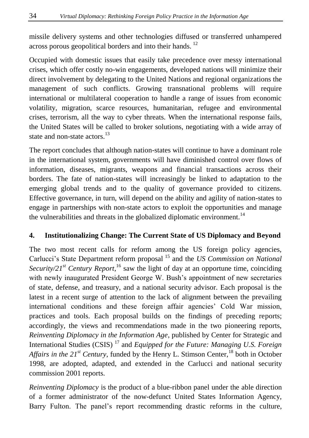missile delivery systems and other technologies diffused or transferred unhampered across porous geopolitical borders and into their hands.<sup>12</sup>

Occupied with domestic issues that easily take precedence over messy international crises, which offer costly no-win engagements, developed nations will minimize their direct involvement by delegating to the United Nations and regional organizations the management of such conflicts. Growing transnational problems will require international or multilateral cooperation to handle a range of issues from economic volatility, migration, scarce resources, humanitarian, refugee and environmental crises, terrorism, all the way to cyber threats. When the international response fails, the United States will be called to broker solutions, negotiating with a wide array of state and non-state actors. $13$ 

The report concludes that although nation-states will continue to have a dominant role in the international system, governments will have diminished control over flows of information, diseases, migrants, weapons and financial transactions across their borders. The fate of nation-states will increasingly be linked to adaptation to the emerging global trends and to the quality of governance provided to citizens. Effective governance, in turn, will depend on the ability and agility of nation-states to engage in partnerships with non-state actors to exploit the opportunities and manage the vulnerabilities and threats in the globalized diplomatic environment.<sup>14</sup>

## **4. Institutionalizing Change: The Current State of US Diplomacy and Beyond**

The two most recent calls for reform among the US foreign policy agencies, Carlucci"s State Department reform proposal <sup>15</sup> and the *US Commission on National*  Security/ $2I^{st}$  *Century Report*,<sup>16</sup> saw the light of day at an opportune time, coinciding with newly inaugurated President George W. Bush's appointment of new secretaries of state, defense, and treasury, and a national security advisor. Each proposal is the latest in a recent surge of attention to the lack of alignment between the prevailing international conditions and these foreign affair agencies" Cold War mission, practices and tools. Each proposal builds on the findings of preceding reports; accordingly, the views and recommendations made in the two pioneering reports, *Reinventing Diplomacy in the Information Age*, published by Center for Strategic and International Studies (CSIS) <sup>17</sup> and *Equipped for the Future: Managing U.S. Foreign Affairs in the 21<sup>st</sup> Century*, funded by the Henry L. Stimson Center, <sup>18</sup> both in October 1998, are adopted, adapted, and extended in the Carlucci and national security commission 2001 reports.

*Reinventing Diplomacy* is the product of a blue-ribbon panel under the able direction of a former administrator of the now-defunct United States Information Agency, Barry Fulton. The panel"s report recommending drastic reforms in the culture,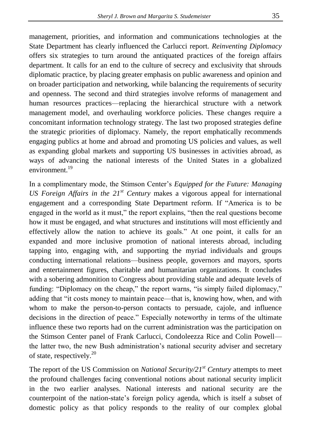management, priorities, and information and communications technologies at the State Department has clearly influenced the Carlucci report. *Reinventing Diplomacy* offers six strategies to turn around the antiquated practices of the foreign affairs department. It calls for an end to the culture of secrecy and exclusivity that shrouds diplomatic practice, by placing greater emphasis on public awareness and opinion and on broader participation and networking, while balancing the requirements of security and openness. The second and third strategies involve reforms of management and human resources practices—replacing the hierarchical structure with a network management model, and overhauling workforce policies. These changes require a concomitant information technology strategy. The last two proposed strategies define the strategic priorities of diplomacy. Namely, the report emphatically recommends engaging publics at home and abroad and promoting US policies and values, as well as expanding global markets and supporting US businesses in activities abroad, as ways of advancing the national interests of the United States in a globalized environment.<sup>19</sup>

In a complimentary mode, the Stimson Center"s *Equipped for the Future: Managing US Foreign Affairs in the 21st Century* makes a vigorous appeal for international engagement and a corresponding State Department reform. If "America is to be engaged in the world as it must," the report explains, "then the real questions become how it must be engaged, and what structures and institutions will most efficiently and effectively allow the nation to achieve its goals." At one point, it calls for an expanded and more inclusive promotion of national interests abroad, including tapping into, engaging with, and supporting the myriad individuals and groups conducting international relations—business people, governors and mayors, sports and entertainment figures, charitable and humanitarian organizations. It concludes with a sobering admonition to Congress about providing stable and adequate levels of funding: "Diplomacy on the cheap," the report warns, "is simply failed diplomacy," adding that "it costs money to maintain peace—that is, knowing how, when, and with whom to make the person-to-person contacts to persuade, cajole, and influence decisions in the direction of peace." Especially noteworthy in terms of the ultimate influence these two reports had on the current administration was the participation on the Stimson Center panel of Frank Carlucci, Condoleezza Rice and Colin Powell the latter two, the new Bush administration"s national security adviser and secretary of state, respectively.<sup>20</sup>

The report of the US Commission on *National Security/21st Century* attempts to meet the profound challenges facing conventional notions about national security implicit in the two earlier analyses. National interests and national security are the counterpoint of the nation-state"s foreign policy agenda, which is itself a subset of domestic policy as that policy responds to the reality of our complex global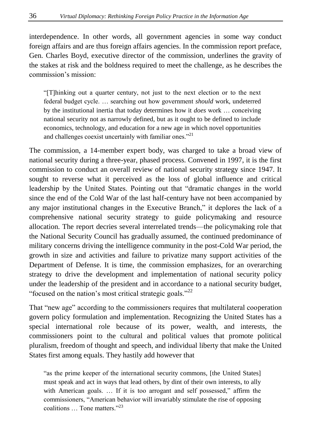interdependence. In other words, all government agencies in some way conduct foreign affairs and are thus foreign affairs agencies. In the commission report preface, Gen. Charles Boyd, executive director of the commission, underlines the gravity of the stakes at risk and the boldness required to meet the challenge, as he describes the commission"s mission:

"[T]hinking out a quarter century, not just to the next election or to the next federal budget cycle. … searching out how government *should* work, undeterred by the institutional inertia that today determines how it *does* work … conceiving national security not as narrowly defined, but as it ought to be defined to include economics, technology, and education for a new age in which novel opportunities and challenges coexist uncertainly with familiar ones."<sup>21</sup>

The commission, a 14-member expert body, was charged to take a broad view of national security during a three-year, phased process. Convened in 1997, it is the first commission to conduct an overall review of national security strategy since 1947. It sought to reverse what it perceived as the loss of global influence and critical leadership by the United States. Pointing out that "dramatic changes in the world since the end of the Cold War of the last half-century have not been accompanied by any major institutional changes in the Executive Branch," it deplores the lack of a comprehensive national security strategy to guide policymaking and resource allocation. The report decries several interrelated trends—the policymaking role that the National Security Council has gradually assumed, the continued predominance of military concerns driving the intelligence community in the post-Cold War period, the growth in size and activities and failure to privatize many support activities of the Department of Defense. It is time, the commission emphasizes, for an overarching strategy to drive the development and implementation of national security policy under the leadership of the president and in accordance to a national security budget, "focused on the nation's most critical strategic goals."<sup>22</sup>

That "new age" according to the commissioners requires that multilateral cooperation govern policy formulation and implementation. Recognizing the United States has a special international role because of its power, wealth, and interests, the commissioners point to the cultural and political values that promote political pluralism, freedom of thought and speech, and individual liberty that make the United States first among equals. They hastily add however that

"as the prime keeper of the international security commons, [the United States] must speak and act in ways that lead others, by dint of their own interests, to ally with American goals. … If it is too arrogant and self possessed," affirm the commissioners, "American behavior will invariably stimulate the rise of opposing coalitions … Tone matters."<sup>23</sup>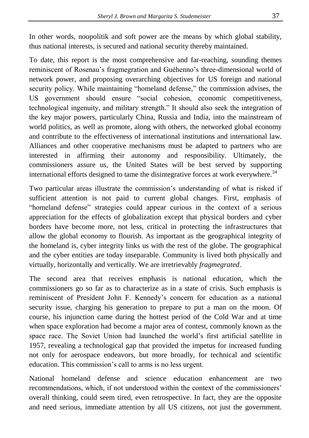In other words, noopolitik and soft power are the means by which global stability, thus national interests, is secured and national security thereby maintained.

To date, this report is the most comprehensive and far-reaching, sounding themes reminiscent of Rosenau"s fragmegration and Guéhenno"s three-dimensional world of network power, and proposing overarching objectives for US foreign and national security policy. While maintaining "homeland defense," the commission advises, the US government should ensure "social cohesion, economic competitiveness, technological ingenuity, and military strength." It should also seek the integration of the key major powers, particularly China, Russia and India, into the mainstream of world politics, as well as promote, along with others, the networked global economy and contribute to the effectiveness of international institutions and international law. Alliances and other cooperative mechanisms must be adapted to partners who are interested in affirming their autonomy and responsibility. Ultimately, the commissioners assure us, the United States will be best served by supporting international efforts designed to tame the disintegrative forces at work everywhere.<sup>24</sup>

Two particular areas illustrate the commission"s understanding of what is risked if sufficient attention is not paid to current global changes. First, emphasis of "homeland defense" strategies could appear curious in the context of a serious appreciation for the effects of globalization except that physical borders and cyber borders have become more, not less, critical in protecting the infrastructures that allow the global economy to flourish. As important as the geographical integrity of the homeland is, cyber integrity links us with the rest of the globe. The geographical and the cyber entities are today inseparable. Community is lived both physically and virtually, horizontally and vertically. We are irretrievably *fragmegrated*.

The second area that receives emphasis is national education, which the commissioners go so far as to characterize as in a state of crisis. Such emphasis is reminiscent of President John F. Kennedy"s concern for education as a national security issue, charging his generation to prepare to put a man on the moon. Of course, his injunction came during the hottest period of the Cold War and at time when space exploration had become a major area of contest, commonly known as the space race. The Soviet Union had launched the world"s first artificial satellite in 1957, revealing a technological gap that provided the impetus for increased funding not only for aerospace endeavors, but more broadly, for technical and scientific education. This commission's call to arms is no less urgent.

National homeland defense and science education enhancement are two recommendations, which, if not understood within the context of the commissioners" overall thinking, could seem tired, even retrospective. In fact, they are the opposite and need serious, immediate attention by all US citizens, not just the government.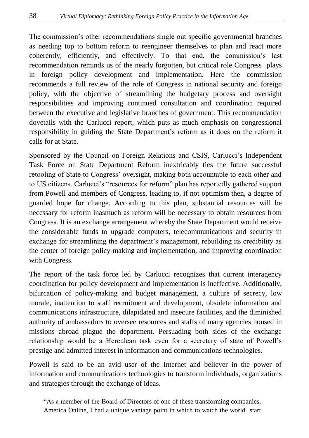The commission"s other recommendations single out specific governmental branches as needing top to bottom reform to reengineer themselves to plan and react more coherently, efficiently, and effectively. To that end, the commission"s last recommendation reminds us of the nearly forgotten, but critical role Congress plays in foreign policy development and implementation. Here the commission recommends a full review of the role of Congress in national security and foreign policy, with the objective of streamlining the budgetary process and oversight responsibilities and improving continued consultation and coordination required between the executive and legislative branches of government. This recommendation dovetails with the Carlucci report, which puts as much emphasis on congressional responsibility in guiding the State Department"s reform as it does on the reform it calls for at State.

Sponsored by the Council on Foreign Relations and CSIS, Carlucci"s Independent Task Force on State Department Reform inextricably ties the future successful retooling of State to Congress" oversight, making both accountable to each other and to US citizens. Carlucci"s "resources for reform" plan has reportedly gathered support from Powell and members of Congress, leading to, if not optimism then, a degree of guarded hope for change. According to this plan, substantial resources will be necessary for reform inasmuch as reform will be necessary to obtain resources from Congress. It is an exchange arrangement whereby the State Department would receive the considerable funds to upgrade computers, telecommunications and security in exchange for streamlining the department's management, rebuilding its credibility as the center of foreign policy-making and implementation, and improving coordination with Congress.

The report of the task force led by Carlucci recognizes that current interagency coordination for policy development and implementation is ineffective. Additionally, bifurcation of policy-making and budget management, a culture of secrecy, low morale, inattention to staff recruitment and development, obsolete information and communications infrastructure, dilapidated and insecure facilities, and the diminished authority of ambassadors to oversee resources and staffs of many agencies housed in missions abroad plague the department. Persuading both sides of the exchange relationship would be a Herculean task even for a secretary of state of Powell"s prestige and admitted interest in information and communications technologies.

Powell is said to be an avid user of the Internet and believer in the power of information and communications technologies to transform individuals, organizations and strategies through the exchange of ideas.

"As a member of the Board of Directors of one of these transforming companies, America Online, I had a unique vantage point in which to watch the world start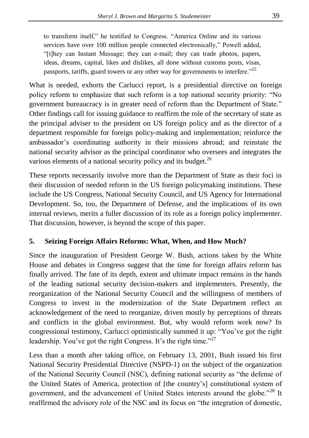to transform itself," he testified to Congress. "America Online and its various services have over 100 million people connected electronically," Powell added, "[t]hey can Instant Message; they can e-mail; they can trade photos, papers, ideas, dreams, capital, likes and dislikes, all done without customs posts, visas, passports, tariffs, guard towers or any other way for governments to interfere."<sup>25</sup>

What is needed, exhorts the Carlucci report, is a presidential directive on foreign policy reform to emphasize that such reform is a top national security priority: "No government bureaucracy is in greater need of reform than the Department of State." Other findings call for issuing guidance to reaffirm the role of the secretary of state as the principal adviser to the president on US foreign policy and as the director of a department responsible for foreign policy-making and implementation; reinforce the ambassador"s coordinating authority in their missions abroad; and reinstate the national security advisor as the principal coordinator who oversees and integrates the various elements of a national security policy and its budget.<sup>26</sup>

These reports necessarily involve more than the Department of State as their foci in their discussion of needed reform in the US foreign policymaking institutions. These include the US Congress, National Security Council, and US Agency for International Development. So, too, the Department of Defense, and the implications of its own internal reviews, merits a fuller discussion of its role as a foreign policy implementer. That discussion, however, is beyond the scope of this paper.

#### **5. Seizing Foreign Affairs Reforms: What, When, and How Much?**

Since the inauguration of President George W. Bush, actions taken by the White House and debates in Congress suggest that the time for foreign affairs reform has finally arrived. The fate of its depth, extent and ultimate impact remains in the hands of the leading national security decision-makers and implementers. Presently, the reorganization of the National Security Council and the willingness of members of Congress to invest in the modernization of the State Department reflect an acknowledgement of the need to reorganize, driven mostly by perceptions of threats and conflicts in the global environment. But, why would reform work now? In congressional testimony, Carlucci optimistically summed it up: "You"ve got the right leadership. You've got the right Congress. It's the right time."<sup>27</sup>

Less than a month after taking office, on February 13, 2001, Bush issued his first National Security Presidential Directive (NSPD-1) on the subject of the organization of the National Security Council (NSC), defining national security as "the defense of the United States of America, protection of [the country"s] constitutional system of government, and the advancement of United States interests around the globe."<sup>28</sup> It reaffirmed the advisory role of the NSC and its focus on "the integration of domestic,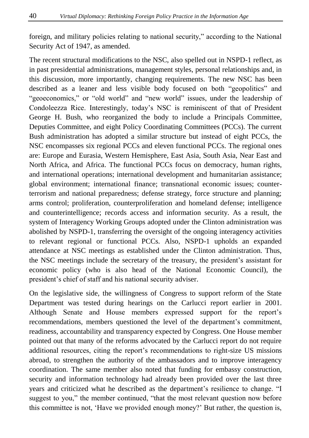foreign, and military policies relating to national security," according to the National Security Act of 1947, as amended.

The recent structural modifications to the NSC, also spelled out in NSPD-1 reflect, as in past presidential administrations, management styles, personal relationships and, in this discussion, more importantly, changing requirements. The new NSC has been described as a leaner and less visible body focused on both "geopolitics" and "geoeconomics," or "old world" and "new world" issues, under the leadership of Condoleezza Rice. Interestingly, today"s NSC is reminiscent of that of President George H. Bush, who reorganized the body to include a Principals Committee, Deputies Committee, and eight Policy Coordinating Committees (PCCs). The current Bush administration has adopted a similar structure but instead of eight PCCs, the NSC encompasses six regional PCCs and eleven functional PCCs. The regional ones are: Europe and Eurasia, Western Hemisphere, East Asia, South Asia, Near East and North Africa, and Africa. The functional PCCs focus on democracy, human rights, and international operations; international development and humanitarian assistance; global environment; international finance; transnational economic issues; counterterrorism and national preparedness; defense strategy, force structure and planning; arms control; proliferation, counterproliferation and homeland defense; intelligence and counterintelligence; records access and information security. As a result, the system of Interagency Working Groups adopted under the Clinton administration was abolished by NSPD-1, transferring the oversight of the ongoing interagency activities to relevant regional or functional PCCs. Also, NSPD-1 upholds an expanded attendance at NSC meetings as established under the Clinton administration. Thus, the NSC meetings include the secretary of the treasury, the president"s assistant for economic policy (who is also head of the National Economic Council), the president"s chief of staff and his national security adviser.

On the legislative side, the willingness of Congress to support reform of the State Department was tested during hearings on the Carlucci report earlier in 2001. Although Senate and House members expressed support for the report"s recommendations, members questioned the level of the department's commitment, readiness, accountability and transparency expected by Congress. One House member pointed out that many of the reforms advocated by the Carlucci report do not require additional resources, citing the report"s recommendations to right-size US missions abroad, to strengthen the authority of the ambassadors and to improve interagency coordination. The same member also noted that funding for embassy construction, security and information technology had already been provided over the last three years and criticized what he described as the department"s resilience to change. "I suggest to you," the member continued, "that the most relevant question now before this committee is not, "Have we provided enough money?" But rather, the question is,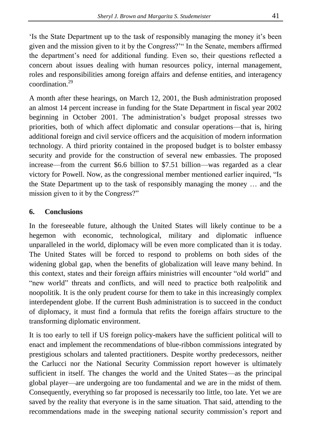"Is the State Department up to the task of responsibly managing the money it"s been given and the mission given to it by the Congress?"" In the Senate, members affirmed the department's need for additional funding. Even so, their questions reflected a concern about issues dealing with human resources policy, internal management, roles and responsibilities among foreign affairs and defense entities, and interagency coordination.<sup>29</sup>

A month after these hearings, on March 12, 2001, the Bush administration proposed an almost 14 percent increase in funding for the State Department in fiscal year 2002 beginning in October 2001. The administration"s budget proposal stresses two priorities, both of which affect diplomatic and consular operations—that is, hiring additional foreign and civil service officers and the acquisition of modern information technology. A third priority contained in the proposed budget is to bolster embassy security and provide for the construction of several new embassies. The proposed increase—from the current \$6.6 billion to \$7.51 billion—was regarded as a clear victory for Powell. Now, as the congressional member mentioned earlier inquired, "Is the State Department up to the task of responsibly managing the money  $\dots$  and the mission given to it by the Congress?"

## **6. Conclusions**

In the foreseeable future, although the United States will likely continue to be a hegemon with economic, technological, military and diplomatic influence unparalleled in the world, diplomacy will be even more complicated than it is today. The United States will be forced to respond to problems on both sides of the widening global gap, when the benefits of globalization will leave many behind. In this context, states and their foreign affairs ministries will encounter "old world" and "new world" threats and conflicts, and will need to practice both realpolitik and noopolitik. It is the only prudent course for them to take in this increasingly complex interdependent globe. If the current Bush administration is to succeed in the conduct of diplomacy, it must find a formula that refits the foreign affairs structure to the transforming diplomatic environment.

It is too early to tell if US foreign policy-makers have the sufficient political will to enact and implement the recommendations of blue-ribbon commissions integrated by prestigious scholars and talented practitioners. Despite worthy predecessors, neither the Carlucci nor the National Security Commission report however is ultimately sufficient in itself. The changes the world and the United States—as the principal global player—are undergoing are too fundamental and we are in the midst of them. Consequently, everything so far proposed is necessarily too little, too late. Yet we are saved by the reality that everyone is in the same situation. That said, attending to the recommendations made in the sweeping national security commission"s report and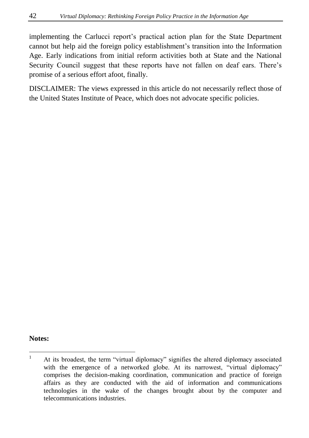implementing the Carlucci report"s practical action plan for the State Department cannot but help aid the foreign policy establishment"s transition into the Information Age. Early indications from initial reform activities both at State and the National Security Council suggest that these reports have not fallen on deaf ears. There's promise of a serious effort afoot, finally.

DISCLAIMER: The views expressed in this article do not necessarily reflect those of the United States Institute of Peace, which does not advocate specific policies.

#### **Notes:**

 $\mathbf{1}$ <sup>1</sup> At its broadest, the term "virtual diplomacy" signifies the altered diplomacy associated with the emergence of a networked globe. At its narrowest, "virtual diplomacy" comprises the decision-making coordination, communication and practice of foreign affairs as they are conducted with the aid of information and communications technologies in the wake of the changes brought about by the computer and telecommunications industries.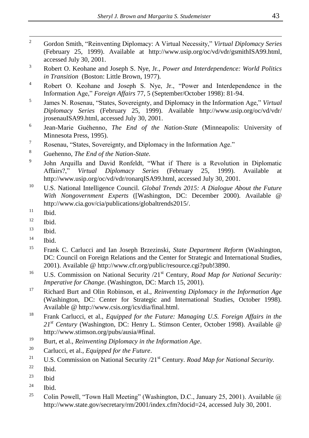- $\overline{2}$ <sup>2</sup> Gordon Smith, "Reinventing Diplomacy: A Virtual Necessity," *Virtual Diplomacy Series* (February 25, 1999). Available at [http://www.usip.org/oc/vd/vdr/gsmithISA99.html,](http://www.usip.org/oc/vd/vdr/gsmithISA99.html) accessed July 30, 2001.
- <sup>3</sup> Robert O. Keohane and Joseph S. Nye, Jr., *Power and Interdependence: World Politics in Transition* (Boston: Little Brown, 1977).
- <sup>4</sup> Robert O. Keohane and Joseph S. Nye, Jr., "Power and Interdependence in the Information Age," *Foreign Affairs* 77, 5 (September/October 1998): 81-94.
- 5 James N. Rosenau, "States, Sovereignty, and Diplomacy in the Information Age," *Virtual Diplomacy Series* (February 25, 1999). Available [http://www.usip.org/oc/vd/vdr/](http://www.usip.org/oc/vd/vdr/%20jrosenauISA99.html)  [jrosenauISA99.html,](http://www.usip.org/oc/vd/vdr/%20jrosenauISA99.html) accessed July 30, 2001.
- 6 Jean-Marie Guéhenno, *The End of the Nation-State* (Minneapolis: University of Minnesota Press, 1995).
- <sup>7</sup> Rosenau, "States, Sovereignty, and Diplomacy in the Information Age."
- <sup>8</sup> Guehenno, *The End of the Nation-State.*
- 9 John Arquilla and David Ronfeldt, "What if There is a Revolution in Diplomatic Affairs?," *Virtual Diplomacy Series* (February 25, 1999). Available [http://www.usip.org/oc/vd/vdr/ronarqISA99.html,](http://www.usip.org/oc/vd/vdr/ronarqISA99.html) accessed July 30, 2001.
- <sup>10</sup> U.S. National Intelligence Council. *Global Trends 2015: A Dialogue About the Future With Nongovernment Experts* ([Washington, DC: December 2000). Available @ [http://www.cia.gov/cia/publications/globaltrends2015/.](http://www.cia.gov/cia/publications/globaltrends2015/)
- $\frac{11}{12}$  Ibid.
- Ibid.
- $13$  Ibid.
- $<sup>14</sup>$  Ibid.</sup>
- <sup>15</sup> Frank C. Carlucci and Ian Joseph Brzezinski, *State Department Reform* (Washington, DC: Council on Foreign Relations and the Center for Strategic and International Studies, 2001). Available @ [http://www.cfr.org/public/resource.cgi?pub!3890.](http://www.cfr.org/public/resource.cgi?pub!3890)
- <sup>16</sup> U.S. Commission on National Security /21<sup>st</sup> Century, *Road Map for National Security: Imperative for Change*. (Washington, DC: March 15, 2001).
- <sup>17</sup> Richard Burt and Olin Robinson, et al., *Reinventing Diplomacy in the Information Age* (Washington, DC: Center for Strategic and International Studies, October 1998). Available @ [http://www.csis.org/ics/dia/final.html.](http://www.csis.org/ics/dia/final.html)
- <sup>18</sup> Frank Carlucci, et al., *Equipped for the Future: Managing U.S. Foreign Affairs in the 21st Century* (Washington, DC: Henry L. Stimson Center, October 1998). Available @ [http://www.stimson.org/pubs/ausia/#final.](http://www.stimson.org/pubs/ausia/#final)
- <sup>19</sup> Burt, et al., *Reinventing Diplomacy in the Information Age*.
- <sup>20</sup> Carlucci, et al., *Equipped for the Future*.
- <sup>21</sup> U.S. Commission on National Security /21<sup>st</sup> Century. *Road Map for National Security.*
- $^{22}$  Ibid.
- $23$  Ibid
- $24$  Ibid.
- <sup>25</sup> Colin Powell, "Town Hall Meeting" (Washington, D.C., January 25, 2001). Available  $\omega$ [http://www.state.gov/secretary/rm/2001/index.cfm?docid=24,](http://www.state.gov/secretary/rm/2001/index.cfm?docid=24) accessed July 30, 2001.